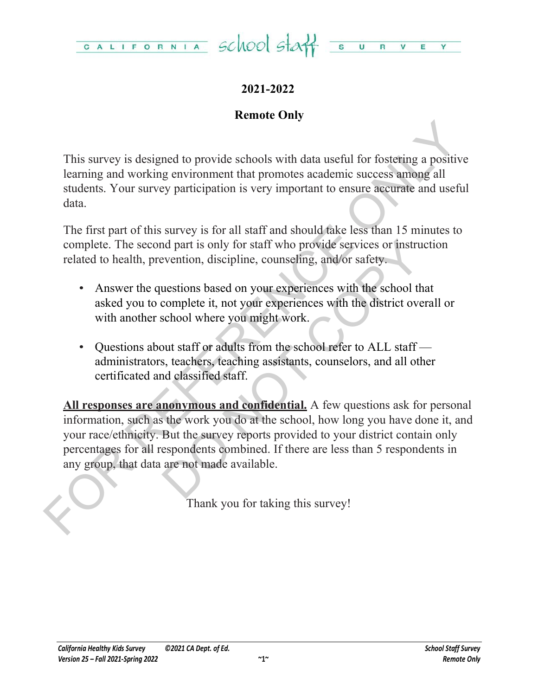

# **2021-2022**

# **Remote Only**

This survey is designed to provide schools with data useful for fostering a positive learning and working environment that promotes academic success among all students. Your survey participation is very important to ensure accurate and useful data.

The first part of this survey is for all staff and should take less than 15 minutes to complete. The second part is only for staff who provide services or instruction related to health, prevention, discipline, counseling, and/or safety.

- Answer the questions based on your experiences with the school that asked you to complete it, not your experiences with the district overall or with another school where you might work.
- Questions about staff or adults from the school refer to ALL staff administrators, teachers, teaching assistants, counselors, and all other certificated and classified staff.

This survey is designed to provide schools with data useful for fostering a positive<br>learning and working environment that promotes academic success among all<br>sudents. Your survey participation is very important to ensure and part is only for staff who provide services or instruct<br>evention, discipline, counseling, and/or safety.<br>uestions based on your experiences with the school that<br>complete it, not your experiences with the district overa **All responses are anonymous and confidential.** A few questions ask for personal information, such as the work you do at the school, how long you have done it, and your race/ethnicity. But the survey reports provided to your district contain only percentages for all respondents combined. If there are less than 5 respondents in any group, that data are not made available.

Thank you for taking this survey!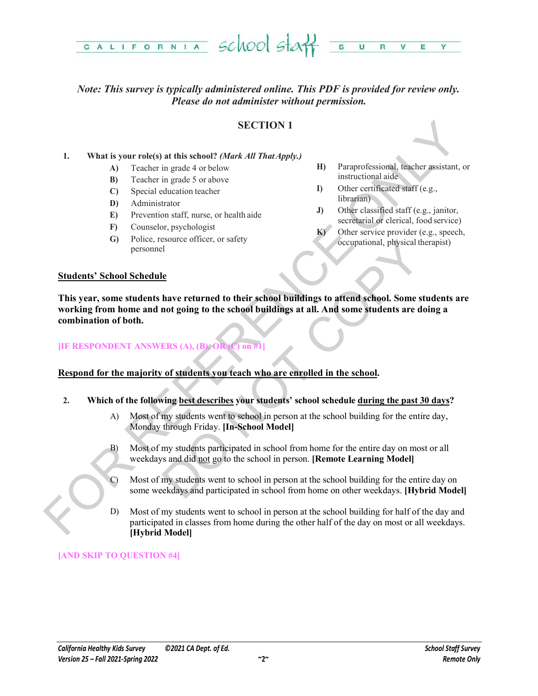

# *Note: This survey is typically administered online. This PDF is provided for review only. Please do not administer without permission.*

## **SECTION 1**

### **1. What is your role(s) at this school?** *(Mark All That Apply.)*

- **A)** Teacher in grade 4 or below
- **B)** Teacher in grade 5 or above
- **C)** Special education teacher
- **D)** Administrator
- **E)** Prevention staff, nurse, or health aide
- **F)** Counselor, psychologist
- **G)** Police, resource officer, or safety personnel
- **H)** Paraprofessional, teacher assistant, or instructional aide
- **I)** Other certificated staff (e.g., librarian)
- **J)** Other classified staff (e.g., janitor, secretarial or clerical, food service)
- **K)** Other service provider (e.g., speech, occupational, physical therapist)

### **Students' School Schedule**

**SECTION 1**<br>
SECTION 1<br>
19 SECTION 1<br>
19 Teacher in grade 4 orbelow<br>
(b) Teacher in grade 3 or showe<br>
(D) Special education technical state<br>
(D) Special education technical state<br>
(D) Special education technical state<br>
(D Sessionce officer, or safety<br>
Le<br>
Le<br>
Le<br>
De lawe returned to their school buildings to attend school. Some students<br>
and returned to the school buildings at all. And some students are doin<br>
ERS (A), (B) OR (J) on #1<br>
of s **This year, some students have returned to their school buildings to attend school. Some students are working from home and not going to the school buildings at all. And some students are doing a combination of both.**

### **[IF RESPONDENT ANSWERS (A), (B), OI**

### **Respond for the majority of students you teach who are enrolled in the school.**

- **2. Which of the following best describes your students' school schedule during the past 30 days?**
	- A) Most of my students went to school in person at the school building for the entire day, Monday through Friday. **[In-School Model]**
	- B) Most of my students participated in school from home for the entire day on most or all weekdays and did not go to the school in person. **[Remote Learning Model]**
	- C) Most of my students went to school in person at the school building for the entire day on some weekdays and participated in school from home on other weekdays. **[Hybrid Model]**
	- D) Most of my students went to school in person at the school building for half of the day and participated in classes from home during the other half of the day on most or all weekdays. **[Hybrid Model]**

### **[AND SKIP TO QUESTION #4]**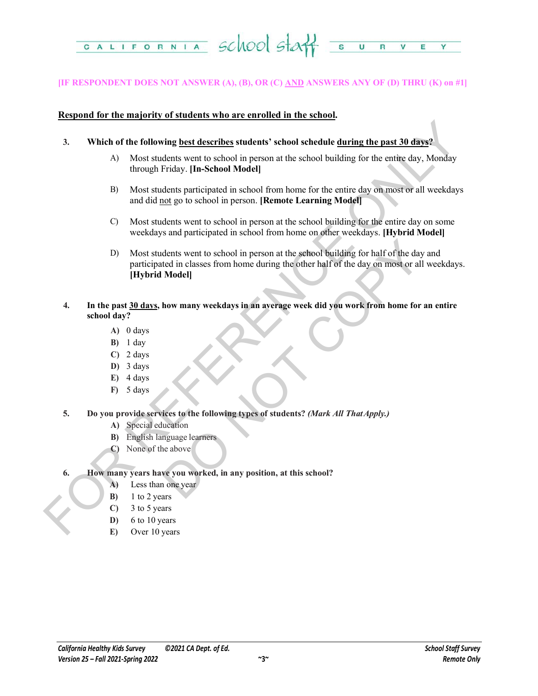

### **[IF RESPONDENT DOES NOT ANSWER (A), (B), OR (C) AND ANSWERS ANY OF (D) THRU (K) on #1]**

### **Respond for the majority of students who are enrolled in the school.**

- **3. Which of the following best describes students' school schedule during the past 30 days?**
	- A) Most students went to school in person at the school building for the entire day, Monday through Friday. **[In-School Model]**
	- B) Most students participated in school from home for the entire day on most or all weekdays and did not go to school in person. **[Remote Learning Model]**
	- C) Most students went to school in person at the school building for the entire day on some weekdays and participated in school from home on other weekdays. **[Hybrid Model]**
- FOR A Mixtures and the following best describes students' school schedule during the past 30 days?<br>
A Most students went to school in person at the school building for the entire day. Monday<br>
through Priday, Hn-School Mod dents went to school in person at the school building for half of the day at<br>et din classes from home during the other half of the day on most or all w<br>**Model**<br>**how many weekdays in an average week did you work from home f** D) Most students went to school in person at the school building for half of the day and participated in classes from home during the other half of the day on most or all weekdays. **[Hybrid Model]**
	- **4. In the past 30 days, how many weekdays in an average week did you work from home for an entire school day?**
		- **A)** 0 days
		- **B)** 1 day
		- **C)** 2 days
		- **D)** 3 days
		- **E)** 4 days
		- **F)** 5 days
	- **5. Do you provide services to the following types of students?** *(Mark All That Apply.)*
		- **A)** Special education
		- **B)** English language learners
		- **C)** None of the above
	- **6. How many years have you worked, in any position, at this school?**
		- **A)** Less than one year
		- **B)** 1 to 2 years
		- **C)** 3 to 5 years
		- **D)** 6 to 10 years
		- **E)** Over 10 years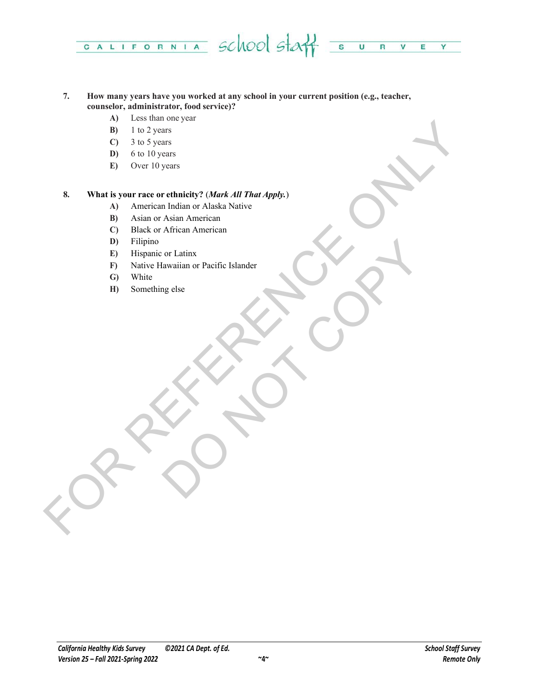

### **7. How many years have you worked at any school in your current position (e.g., teacher, counselor, administrator, food service)?**

- **A)** Less than one year
- **B)** 1 to 2 years
- **C)** 3 to 5 years
- **D)** 6 to 10 years
- **E)** Over 10 years

# FOR THE CHAPTER CONTROL CONTROL CONTROL CONTROL CONTROL CONTROL CONTROL CONTROL CONTROL CONTROL CONTROL CONTROL CONTROL CONTROL CONTROL CONTROL CONTROL CONTROL CONTROL CONTROL CONTROL CONTROL CONTROL CONTROL CONTROL CONTRO **8. What is your race or ethnicity?** (*Mark All That Apply.*)

- **A)** American Indian or Alaska Native
- **B)** Asian or Asian American
- **C)** Black or African American
- **D)** Filipino
- **E)** Hispanic or Latinx
- or Latinx<br>algorithm or Pacific Islander<br>Copy of the Copy of the Copy of the Copy of the Copy of the Copy of the Copy of the Copy of the Copy of the Copy of the Copy of the Copy of the Copy of the Copy of the Copy of the Co **F)** Native Hawaiian or Pacific Islander
- **G)** White
- **H)** Something else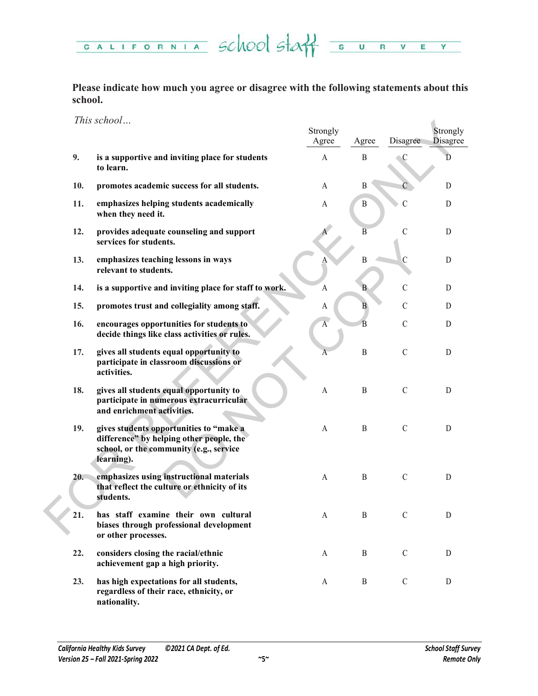CALIFORNIA SCHOOL STAT SURVE  $Y =$ 

**Please indicate how much you agree or disagree with the following statements about this school.**

*This school…*

|     | <i>I rus school</i>                                                                                                                          | Strongly<br>Agree | Agree          | Disagree      | Strongly<br><b>Disagree</b> |
|-----|----------------------------------------------------------------------------------------------------------------------------------------------|-------------------|----------------|---------------|-----------------------------|
| 9.  | is a supportive and inviting place for students<br>to learn.                                                                                 | $\mathbf{A}$      | $\mathbf{B}$   | C             | D                           |
| 10. | promotes academic success for all students.                                                                                                  | A                 | B              |               | D                           |
| 11. | emphasizes helping students academically<br>when they need it.                                                                               | A                 | B              | С             | D                           |
| 12. | provides adequate counseling and support<br>services for students.                                                                           |                   | $\overline{B}$ | $\mathcal{C}$ | D                           |
| 13. | emphasizes teaching lessons in ways<br>relevant to students.                                                                                 |                   | $\mathbf{B}$   | $\mathcal{C}$ | $\mathbf D$                 |
| 14. | is a supportive and inviting place for staff to work.                                                                                        | A                 | B              | $\mathcal{C}$ | D                           |
| 15. | promotes trust and collegiality among staff.                                                                                                 | A                 | B              | $\mathcal{C}$ | D                           |
| 16. | encourages opportunities for students to<br>decide things like class activities or rules.                                                    | $\overline{A}$    | $\overline{B}$ | $\mathcal{C}$ | D                           |
| 17. | gives all students equal opportunity to<br>participate in classroom discussions or<br>activities.                                            | А                 | $\, {\bf B}$   | $\mathsf C$   | D                           |
| 18. | gives all students equal opportunity to<br>participate in numerous extracurricular<br>and enrichment activities.                             | A                 | B              | $\mathcal{C}$ | D                           |
| 19. | gives students opportunities to "make a<br>difference" by helping other people, the<br>school, or the community (e.g., service<br>learning). | A                 | $\mathbf{B}$   | $\mathcal{C}$ | $\mathbf D$                 |
| 20. | emphasizes using instructional materials<br>that reflect the culture or ethnicity of its<br>students.                                        | A                 | $\mathbf{B}$   | $\mathcal{C}$ | D                           |
| 21. | has staff examine their own cultural<br>biases through professional development<br>or other processes.                                       | $\mathbf{A}$      | $\, {\bf B}$   | $\mathcal{C}$ | D                           |
| 22. | considers closing the racial/ethnic<br>achievement gap a high priority.                                                                      | A                 | B              | $\mathcal{C}$ | D                           |
| 23. | has high expectations for all students,<br>regardless of their race, ethnicity, or<br>nationality.                                           | A                 | B              | $\mathcal{C}$ | D                           |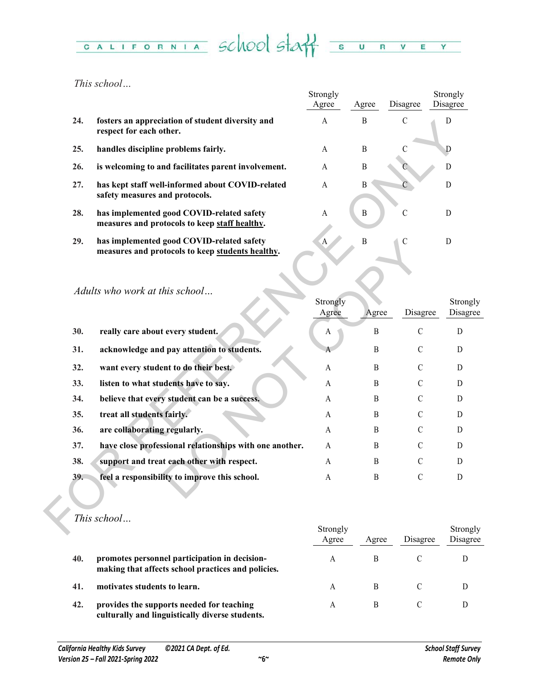### CALIFORNIA School Staff  $\overline{\mathbf{s}}$  $\overline{\mathsf{u}}$ R V E  $Y =$

*This school…*

|     |                                                                                               | Strongly<br>Agree | Agree | Disagree      | Strongly<br>Disagree |
|-----|-----------------------------------------------------------------------------------------------|-------------------|-------|---------------|----------------------|
| 24. | fosters an appreciation of student diversity and<br>respect for each other.                   | A                 | B     | $\mathcal{C}$ |                      |
| 25. | handles discipline problems fairly.                                                           | A                 | B     | C             |                      |
| 26. | is welcoming to and facilitates parent involvement.                                           | A                 | B     |               |                      |
| 27. | has kept staff well-informed about COVID-related<br>safety measures and protocols.            | A                 | B     |               |                      |
| 28. | has implemented good COVID-related safety<br>measures and protocols to keep staff healthy.    | A                 | B     | C             | D                    |
| 29. | has implemented good COVID-related safety<br>measures and protocols to keep students healthy. | A                 | B     | C             |                      |

| 24. | fosters an appreciation of student diversity and<br>respect for each other.                   | А                     | ь            |               | D                    |
|-----|-----------------------------------------------------------------------------------------------|-----------------------|--------------|---------------|----------------------|
| 25. | handles discipline problems fairly.                                                           | $\mathbf{A}$          | $\, {\bf B}$ | $\mathcal{C}$ | D                    |
| 26. | is welcoming to and facilitates parent involvement.                                           | A                     | $\, {\bf B}$ |               | D                    |
| 27. | has kept staff well-informed about COVID-related<br>safety measures and protocols.            | $\mathbf{A}$          | $\, {\bf B}$ |               | ${\rm D}$            |
| 28. | has implemented good COVID-related safety<br>measures and protocols to keep staff healthy.    | $\mathbf{A}$          | $\, {\bf B}$ | $\mathcal{C}$ | D                    |
| 29. | has implemented good COVID-related safety<br>measures and protocols to keep students healthy. | A                     | B            | $\mathcal{C}$ | D                    |
|     |                                                                                               |                       |              |               |                      |
|     | Adults who work at this school                                                                | Strongly<br>Agree     | Agree        | Disagree      | Strongly<br>Disagree |
| 30. | really care about every student.                                                              | A                     | B            | $\mathcal{C}$ | ${\bf D}$            |
| 31. | acknowledge and pay attention to students.                                                    | A                     | $\, {\bf B}$ | $\mathcal{C}$ | D                    |
| 32. | want every student to do their best.                                                          | $\boldsymbol{\rm{A}}$ | $\, {\bf B}$ | $\mathcal{C}$ | D                    |
| 33. | listen to what students have to say.                                                          | A                     | $\mathbf B$  | $\mathcal{C}$ | D                    |
| 34. | believe that every student can be a success.                                                  | A                     | B            | $\mathcal{C}$ | D                    |
| 35. | treat all students fairly.                                                                    | A                     | B            | $\mathcal{C}$ | D                    |
| 36. | are collaborating regularly.                                                                  | A                     | B            | $\mathcal{C}$ | D                    |
| 37. | have close professional relationships with one another.                                       | A                     | B            | $\mathcal{C}$ | D                    |
| 38. | support and treat each other with respect.                                                    | A                     | $\mathbf B$  | $\mathcal{C}$ | D                    |
| 39. | feel a responsibility to improve this school.                                                 | A                     | $\, {\bf B}$ | $\mathcal{C}$ | D                    |
|     | This school                                                                                   |                       |              |               |                      |
|     |                                                                                               | Strongly              |              |               | Strongly             |

|     |                                                                                                     | Strongly<br>Agree | Agree | Disagree | Strongly<br>Disagree |
|-----|-----------------------------------------------------------------------------------------------------|-------------------|-------|----------|----------------------|
| 40. | promotes personnel participation in decision-<br>making that affects school practices and policies. | A                 |       |          |                      |
| 41. | motivates students to learn.                                                                        |                   | B     |          |                      |
| 42. | provides the supports needed for teaching<br>culturally and linguistically diverse students.        | А                 | B     |          |                      |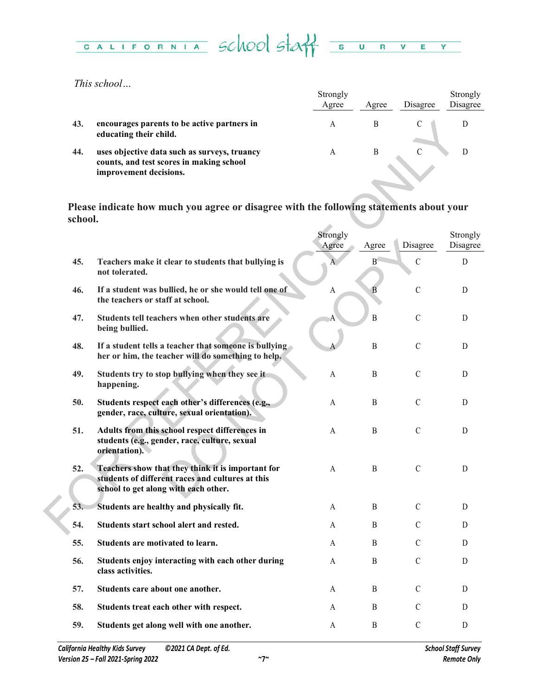

*This school…*

|     |                                                                                                                    | Strongly<br>Agree | Agree | Disagree | Strongly<br>Disagree |
|-----|--------------------------------------------------------------------------------------------------------------------|-------------------|-------|----------|----------------------|
| 43. | encourages parents to be active partners in<br>educating their child.                                              |                   |       |          |                      |
| 44. | uses objective data such as surveys, truancy<br>counts, and test scores in making school<br>improvement decisions. | А                 | B     |          |                      |

| 43.     | encourages parents to be active partners in<br>educating their child.                                                                         | A                 | $\, {\bf B}$ | $\mathcal{C}$ | D                    |
|---------|-----------------------------------------------------------------------------------------------------------------------------------------------|-------------------|--------------|---------------|----------------------|
| 44.     | uses objective data such as surveys, truancy<br>counts, and test scores in making school<br>improvement decisions.                            | A                 | $\mathbf B$  | $\mathcal{C}$ | D                    |
| school. | Please indicate how much you agree or disagree with the following statements about your                                                       |                   |              |               |                      |
|         |                                                                                                                                               | Strongly<br>Agree | Agree        | Disagree      | Strongly<br>Disagree |
| 45.     | Teachers make it clear to students that bullying is<br>not tolerated.                                                                         |                   | B            | $\mathcal{C}$ | D                    |
| 46.     | If a student was bullied, he or she would tell one of<br>the teachers or staff at school.                                                     | A                 | B            | $\mathcal{C}$ | D                    |
| 47.     | Students tell teachers when other students are<br>being bullied.                                                                              |                   | $\mathbf B$  | $\mathcal{C}$ | D                    |
| 48.     | If a student tells a teacher that someone is bullying<br>her or him, the teacher will do something to help.                                   |                   | $\, {\bf B}$ | $\mathsf C$   | D                    |
| 49.     | Students try to stop bullying when they see it<br>happening.                                                                                  | A                 | B            | $\mathcal{C}$ | D                    |
| 50.     | Students respect each other's differences (e.g.,<br>gender, race, culture, sexual orientation).                                               | A                 | $\, {\bf B}$ | $\mathcal{C}$ | D                    |
| 51.     | Adults from this school respect differences in<br>students (e.g., gender, race, culture, sexual<br>orientation).                              | A                 | $\, {\bf B}$ | $\mathsf C$   | D                    |
| 52.     | Teachers show that they think it is important for<br>students of different races and cultures at this<br>school to get along with each other. | A                 | B            | $\mathcal{C}$ | D                    |
| 53.     | Students are healthy and physically fit.                                                                                                      | A                 | B            | $\mathcal{C}$ | D                    |
| 54.     | Students start school alert and rested.                                                                                                       | A                 | B            | $\mathcal{C}$ | D                    |
| 55.     | Students are motivated to learn.                                                                                                              | A                 | B            | $\mathcal{C}$ | D                    |
| 56.     | Students enjoy interacting with each other during<br>class activities.                                                                        | A                 | $\, {\bf B}$ | $\mathcal{C}$ | D                    |
| 57.     | Students care about one another.                                                                                                              | A                 | $\, {\bf B}$ | $\mathsf C$   | D                    |
| 58.     | Students treat each other with respect.                                                                                                       | A                 | B            | $\mathcal{C}$ | D                    |
| 59.     | Students get along well with one another.                                                                                                     | A                 | B            | $\mathsf C$   | D                    |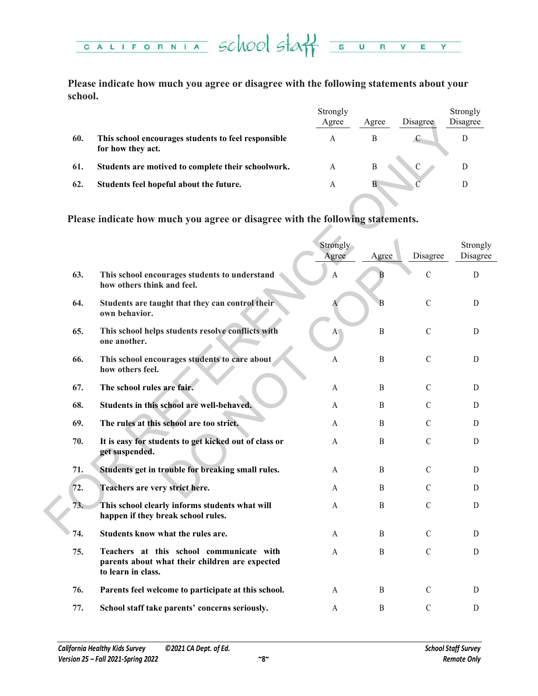

**Please indicate how much you agree or disagree with the following statements about your school.**

|     |                                                                          | Strongly<br>Agree | Agree | Disagree | Strongly<br>Disagree |
|-----|--------------------------------------------------------------------------|-------------------|-------|----------|----------------------|
| 60. | This school encourages students to feel responsible<br>for how they act. | А                 | B     |          |                      |
| 61. | Students are motived to complete their schoolwork.                       | А                 | B     |          |                      |
| 62. | Students feel hopeful about the future.                                  | А                 | B     |          |                      |
|     |                                                                          |                   |       |          |                      |

|     |                                                                                                                  | Agree             | Agree            | Disagree      | Disagree             |
|-----|------------------------------------------------------------------------------------------------------------------|-------------------|------------------|---------------|----------------------|
| 60. | This school encourages students to feel responsible<br>for how they act.                                         | A                 | B                | C             | D                    |
| 61. | Students are motived to complete their schoolwork.                                                               | A                 | $\boldsymbol{B}$ | $\mathsf C$   | D                    |
| 62. | Students feel hopeful about the future.                                                                          | A                 | $\overline{B}$   |               | D                    |
|     | Please indicate how much you agree or disagree with the following statements.                                    |                   |                  |               |                      |
|     |                                                                                                                  | Strongly<br>Agree | Agree            | Disagree      | Strongly<br>Disagree |
| 63. | This school encourages students to understand<br>how others think and feel.                                      | $\mathbf{A}$      | В                | $\mathcal{C}$ | D                    |
| 64. | Students are taught that they can control their<br>own behavior.                                                 | A                 | B                | $\mathcal{C}$ | D                    |
| 65. | This school helps students resolve conflicts with<br>one another.                                                | A <sub>1</sub>    | $\, {\bf B}$     | $\mathcal{C}$ | D                    |
| 66. | This school encourages students to care about<br>how others feel.                                                | A                 | B                | $\mathcal{C}$ | D                    |
| 67. | The school rules are fair.                                                                                       | A                 | B                | $\mathcal{C}$ | D                    |
| 68. | Students in this school are well-behaved.                                                                        | A                 | B                | $\mathcal{C}$ | D                    |
| 69. | The rules at this school are too strict.                                                                         | A                 | B                | $\mathcal{C}$ | D                    |
| 70. | It is easy for students to get kicked out of class or<br>get suspended.                                          | A                 | $\, {\bf B}$     | $\mathcal{C}$ | D                    |
| 71. | Students get in trouble for breaking small rules.                                                                | A                 | B                | C             | D                    |
| 72. | Teachers are very strict here.                                                                                   | A                 | B                | $\mathcal{C}$ | D                    |
| 73. | This school clearly informs students what will<br>happen if they break school rules.                             | A                 | B                | $\mathcal{C}$ | D                    |
| 74. | Students know what the rules are.                                                                                | A                 | B                | $\mathcal{C}$ | D                    |
| 75. | Teachers at this school communicate with<br>parents about what their children are expected<br>to learn in class. | A                 | B                | $\mathcal{C}$ | D                    |
| 76. | Parents feel welcome to participate at this school.                                                              | A                 | B                | $\mathcal{C}$ | D                    |
| 77. | School staff take parents' concerns seriously.                                                                   | A                 | B                | $\mathcal{C}$ | D                    |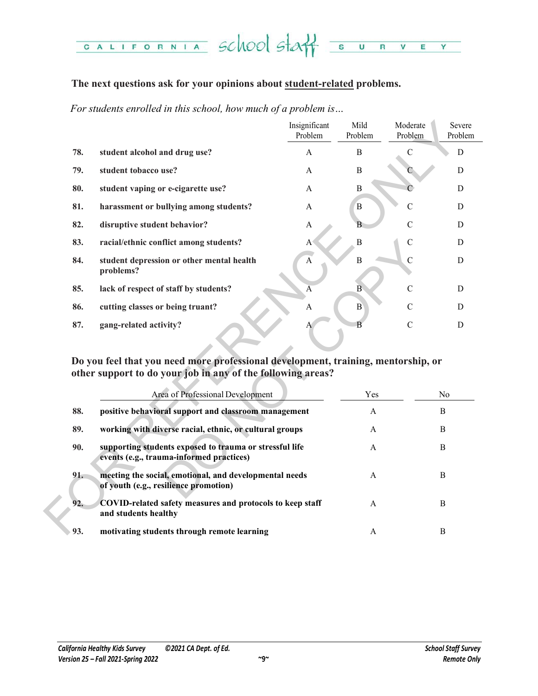### CALIFORNIA School staff su  $R$   $V$   $E$ Y

# **The next questions ask for your opinions about student-related problems.**

*For students enrolled in this school, how much of a problem is…*

|     |                                                                                                                                                                                      | Insignificant<br>Problem | Mild<br>Problem | Moderate<br>Problem | Severe<br>Problem |
|-----|--------------------------------------------------------------------------------------------------------------------------------------------------------------------------------------|--------------------------|-----------------|---------------------|-------------------|
| 78. | student alcohol and drug use?                                                                                                                                                        | A                        | B               | $\mathcal{C}$       | D                 |
| 79. | student tobacco use?                                                                                                                                                                 | A                        | B               |                     | D                 |
| 80. | student vaping or e-cigarette use?                                                                                                                                                   | A                        | $\bf{B}$        |                     | $\mathbf D$       |
| 81. | harassment or bullying among students?                                                                                                                                               | A                        | B               | $\overline{C}$      | D                 |
| 82. | disruptive student behavior?                                                                                                                                                         | A                        | B               | $\mathcal{C}$       | D                 |
| 83. | racial/ethnic conflict among students?                                                                                                                                               | A                        | $\, {\bf B}$    | $\mathsf C$         | D                 |
| 84. | student depression or other mental health<br>problems?                                                                                                                               | $\overline{A}$           | $\, {\bf B}$    | $\mathcal{C}$       | D                 |
| 85. | lack of respect of staff by students?                                                                                                                                                | A                        | B               | $\mathcal{C}$       | D                 |
| 86. | cutting classes or being truant?                                                                                                                                                     | $\mathbf{A}$             | $\bf{B}$        | $\mathcal{C}$       | D                 |
| 87. | gang-related activity?                                                                                                                                                               | А                        | B               | $\mathcal{C}$       | D                 |
|     | Do you feel that you need more professional development, training, mentorship, or<br>other support to do your job in any of the following areas?<br>Area of Professional Development |                          | Yes             |                     | No                |
| 88. | positive behavioral support and classroom management                                                                                                                                 |                          | A               |                     | B                 |
| 89. | working with diverse racial, ethnic, or cultural groups                                                                                                                              |                          | A               |                     | B                 |
| 90. | supporting students exposed to trauma or stressful life<br>events (e.g., trauma-informed practices)                                                                                  |                          | A               |                     | $\mathbf B$       |
| 91. | meeting the social, emotional, and developmental needs<br>of youth (e.g., resilience promotion)                                                                                      |                          | A               |                     | B                 |
| 92. | <b>COVID-related safety measures and protocols to keep staff</b><br>and students healthy                                                                                             |                          | A               |                     | B                 |
| 93. | motivating students through remote learning                                                                                                                                          |                          | A               |                     | B                 |

| 83.                                                                                                                                                                                                           | racial/ethnic conflict among students?                                                              | B<br>$A^{\circ}$ |              | $\mathcal{C}$ | D |  |  |  |
|---------------------------------------------------------------------------------------------------------------------------------------------------------------------------------------------------------------|-----------------------------------------------------------------------------------------------------|------------------|--------------|---------------|---|--|--|--|
| 84.                                                                                                                                                                                                           | student depression or other mental health<br>problems?                                              | B<br>A           |              | $\mathcal{C}$ | D |  |  |  |
| 85.                                                                                                                                                                                                           | lack of respect of staff by students?                                                               | B<br>A           |              | $\mathcal{C}$ | D |  |  |  |
| 86.                                                                                                                                                                                                           | cutting classes or being truant?                                                                    | $\bf{B}$<br>A    |              | $\mathcal{C}$ | D |  |  |  |
| 87.                                                                                                                                                                                                           | gang-related activity?                                                                              | B<br>A           |              | $\mathcal{C}$ | D |  |  |  |
| Do you feel that you need more professional development, training, mentorship, or<br>other support to do your job in any of the following areas?<br>Area of Professional Development<br>Yes<br>N <sub>o</sub> |                                                                                                     |                  |              |               |   |  |  |  |
|                                                                                                                                                                                                               |                                                                                                     |                  |              |               |   |  |  |  |
|                                                                                                                                                                                                               |                                                                                                     |                  |              |               |   |  |  |  |
| 88.                                                                                                                                                                                                           | positive behavioral support and classroom management                                                |                  | $\mathbf{A}$ | B             |   |  |  |  |
| 89.                                                                                                                                                                                                           | working with diverse racial, ethnic, or cultural groups                                             |                  | $\mathbf{A}$ | B             |   |  |  |  |
| 90.                                                                                                                                                                                                           | supporting students exposed to trauma or stressful life<br>events (e.g., trauma-informed practices) |                  | A            | B             |   |  |  |  |
| 91.                                                                                                                                                                                                           | meeting the social, emotional, and developmental needs<br>of youth (e.g., resilience promotion)     |                  | A            | B             |   |  |  |  |
| 92.                                                                                                                                                                                                           | COVID-related safety measures and protocols to keep staff<br>and students healthy                   |                  | A            | B             |   |  |  |  |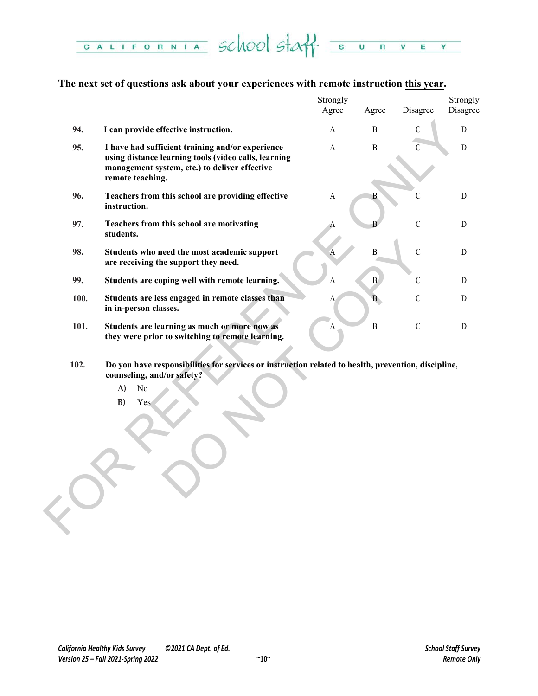CALIFORNIA School Staff  $\overline{\mathbf{s}}$  $\overline{U}$  $\overline{R}$  $\overline{\mathbf{v}}$ E Y

# **The next set of questions ask about your experiences with remote instruction this year.**

|      |                                                                                                                                                                               | Strongly     |              |                | Strongly    |
|------|-------------------------------------------------------------------------------------------------------------------------------------------------------------------------------|--------------|--------------|----------------|-------------|
|      |                                                                                                                                                                               | Agree        | Agree        | Disagree       | Disagree    |
| 94.  | I can provide effective instruction.                                                                                                                                          | $\mathbf{A}$ | $\, {\bf B}$ | $\mathcal{C}$  | D           |
| 95.  | I have had sufficient training and/or experience<br>using distance learning tools (video calls, learning<br>management system, etc.) to deliver effective<br>remote teaching. | $\mathbf{A}$ | $\, {\bf B}$ | $\overline{C}$ | ${\rm D}$   |
| 96.  | Teachers from this school are providing effective<br>instruction.                                                                                                             | $\mathbf{A}$ | $\mathbf{B}$ | $\mathcal{C}$  | $\mathbf D$ |
| 97.  | Teachers from this school are motivating<br>students.                                                                                                                         |              |              | $\mathcal{C}$  | D           |
| 98.  | Students who need the most academic support<br>are receiving the support they need.                                                                                           | A            | $\, {\bf B}$ | $\mathcal{C}$  | D           |
| 99.  | Students are coping well with remote learning.                                                                                                                                | A            | B            | $\mathcal{C}$  | D           |
| 100. | Students are less engaged in remote classes than<br>in in-person classes.                                                                                                     | A            | B            | $\mathcal{C}$  | ${\bf D}$   |
| 101. | Students are learning as much or more now as<br>they were prior to switching to remote learning.                                                                              | $\mathbf{A}$ | $\, {\bf B}$ | $\mathcal{C}$  | D           |
| 102. | Do you have responsibilities for services or instruction related to health, prevention, discipline,<br>counseling, and/or safety?<br>$\mathbf{A}$<br>No<br>B)<br>Yes          |              |              |                |             |

- **102. Do you have responsibilities for services or instruction related to health, prevention, discipline, counseling, and/or safety?** 
	- **A)** No
	- **B)** Yes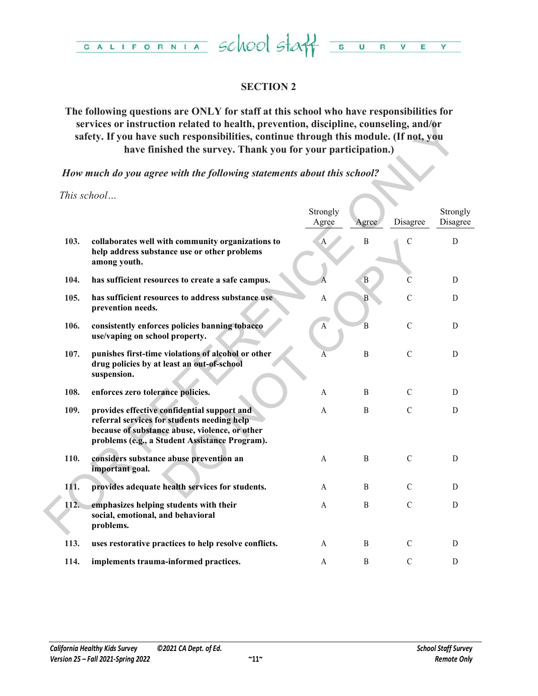

# **SECTION 2**

# **The following questions are ONLY for staff at this school who have responsibilities for services or instruction related to health, prevention, discipline, counseling, and/or safety. If you have such responsibilities, continue through this module. (If not, you have finished the survey. Thank you for your participation.)**

| services or instruction related to health, prevention, discipline, counseling, and/or<br>safety. If you have such responsibilities, continue through this module. (If not, you<br>have finished the survey. Thank you for your participation.) |                                                                                                                                                                                                |                   |                  |               |                      |  |  |
|------------------------------------------------------------------------------------------------------------------------------------------------------------------------------------------------------------------------------------------------|------------------------------------------------------------------------------------------------------------------------------------------------------------------------------------------------|-------------------|------------------|---------------|----------------------|--|--|
|                                                                                                                                                                                                                                                | How much do you agree with the following statements about this school?                                                                                                                         |                   |                  |               |                      |  |  |
|                                                                                                                                                                                                                                                | This school                                                                                                                                                                                    | Strongly<br>Agree | Agree            | Disagree      | Strongly<br>Disagree |  |  |
| 103.                                                                                                                                                                                                                                           | collaborates well with community organizations to<br>help address substance use or other problems<br>among youth.                                                                              | $\mathbf{A}$      | $\mathbf B$      | $\mathcal{C}$ | $\mathbf D$          |  |  |
| 104.                                                                                                                                                                                                                                           | has sufficient resources to create a safe campus.                                                                                                                                              |                   | $\, {\bf B}$     | C             | D                    |  |  |
| 105.                                                                                                                                                                                                                                           | has sufficient resources to address substance use<br>prevention needs.                                                                                                                         | A                 | $\, {\bf B}$     | $\mathcal{C}$ | D                    |  |  |
| 106.                                                                                                                                                                                                                                           | consistently enforces policies banning tobacco<br>use/vaping on school property.                                                                                                               | $\mathbf A$       | $\overline{B}$   | $\mathbf C$   | ${\rm D}$            |  |  |
| 107.                                                                                                                                                                                                                                           | punishes first-time violations of alcohol or other<br>drug policies by at least an out-of-school<br>suspension.                                                                                | A                 | $\mathbf B$      | $\mathcal{C}$ | D                    |  |  |
| 108.                                                                                                                                                                                                                                           | enforces zero tolerance policies.                                                                                                                                                              | A                 | $\, {\bf B}$     | $\mathcal{C}$ | D                    |  |  |
| 109.                                                                                                                                                                                                                                           | provides effective confidential support and<br>referral services for students needing help<br>because of substance abuse, violence, or other<br>problems (e.g., a Student Assistance Program). | A                 | $\, {\bf B}$     | $\mathcal{C}$ | $\mathbf D$          |  |  |
| 110.                                                                                                                                                                                                                                           | considers substance abuse prevention an<br>important goal.                                                                                                                                     | A                 | B                | $\mathcal{C}$ | D                    |  |  |
| 111.                                                                                                                                                                                                                                           | provides adequate health services for students.                                                                                                                                                | A                 | B                | C             | D                    |  |  |
| 112.                                                                                                                                                                                                                                           | emphasizes helping students with their<br>social, emotional, and behavioral<br>problems.                                                                                                       | A                 | $\boldsymbol{B}$ | $\mathcal{C}$ | $\mathbf D$          |  |  |
| 113.                                                                                                                                                                                                                                           | uses restorative practices to help resolve conflicts.                                                                                                                                          | A                 | B                | C             | D                    |  |  |
| 114.                                                                                                                                                                                                                                           | implements trauma-informed practices.                                                                                                                                                          | A                 | B                | C             | D                    |  |  |